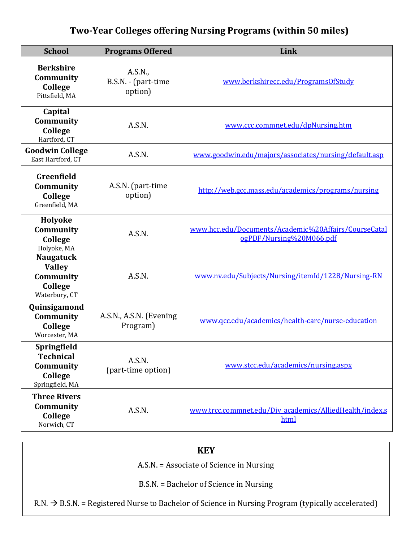## **Two-Year Colleges offering Nursing Programs (within 50 miles)**

| <b>School</b>                                                              | <b>Programs Offered</b>                   | Link                                                                             |
|----------------------------------------------------------------------------|-------------------------------------------|----------------------------------------------------------------------------------|
| <b>Berkshire</b><br>Community<br>College<br>Pittsfield, MA                 | A.S.N.,<br>B.S.N. - (part-time<br>option) | www.berkshirecc.edu/ProgramsOfStudy                                              |
| Capital<br>Community<br>College<br>Hartford, CT                            | A.S.N.                                    | www.ccc.commnet.edu/dpNursing.htm                                                |
| <b>Goodwin College</b><br>East Hartford, CT                                | A.S.N.                                    | www.goodwin.edu/majors/associates/nursing/default.asp                            |
| Greenfield<br>Community<br>College<br>Greenfield, MA                       | A.S.N. (part-time<br>option)              | http://web.gcc.mass.edu/academics/programs/nursing                               |
| Holyoke<br>Community<br>College<br>Holyoke, MA                             | A.S.N.                                    | www.hcc.edu/Documents/Academic%20Affairs/CourseCatal<br>ogPDF/Nursing%20M066.pdf |
| <b>Naugatuck</b><br><b>Valley</b><br>Community<br>College<br>Waterbury, CT | A.S.N.                                    | www.nv.edu/Subjects/Nursing/itemId/1228/Nursing-RN                               |
| Quinsigamond<br>Community<br>College<br>Worcester, MA                      | A.S.N., A.S.N. (Evening<br>Program)       | www.qcc.edu/academics/health-care/nurse-education                                |
| Springfield<br><b>Technical</b><br>Community<br>College<br>Springfield, MA | A.S.N.<br>(part-time option)              | www.stcc.edu/academics/nursing.aspx                                              |
| <b>Three Rivers</b><br>Community<br>College<br>Norwich, CT                 | A.S.N.                                    | www.trcc.commnet.edu/Div academics/AlliedHealth/index.s<br>html                  |

## **KEY**

A.S.N. = Associate of Science in Nursing

B.S.N. = Bachelor of Science in Nursing

 $R.N. \rightarrow B.S.N. = Registered Nurse to Bachelor of Science in Nursing Program (typically accelerated)$